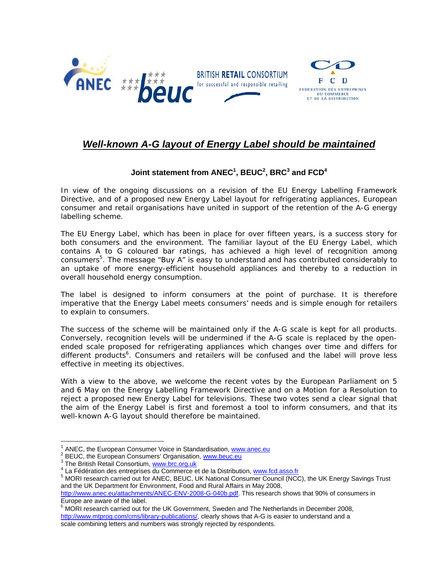

## *Well-known A-G layout of Energy Label should be maintained*

## **Joint statement from ANEC<sup>1</sup> , BEUC2 , BRC<sup>3</sup> and FCD<sup>4</sup>**

In view of the ongoing discussions on a revision of the EU Energy Labelling Framework Directive, and of a proposed new Energy Label layout for refrigerating appliances, European consumer and retail organisations have united in support of the retention of the A-G energy labelling scheme.

The EU Energy Label, which has been in place for over fifteen years, is a success story for both consumers and the environment. The familiar layout of the EU Energy Label, which contains A to G coloured bar ratings, has achieved a high level of recognition among consumers<sup>5</sup>. The message "Buy A" is easy to understand and has contributed considerably to an uptake of more energy-efficient household appliances and thereby to a reduction in overall household energy consumption.

The label is designed to inform consumers at the point of purchase. It is therefore imperative that the Energy Label meets consumers' needs and is simple enough for retailers to explain to consumers.

The success of the scheme will be maintained only if the A-G scale is kept for all products. Conversely, recognition levels will be undermined if the A-G scale is replaced by the openended scale proposed for refrigerating appliances which changes over time and differs for different products<sup>6</sup>. Consumers and retailers will be confused and the label will prove less effective in meeting its objectives.

With a view to the above, we welcome the recent votes by the European Parliament on 5 and 6 May on the Energy Labelling Framework Directive and on a Motion for a Resolution to reject a proposed new Energy Label for televisions. These two votes send a clear signal that the aim of the Energy Label is first and foremost a tool to inform consumers, and that its well-known A-G layout should therefore be maintained.

1

<sup>&</sup>lt;sup>1</sup> ANEC, the European Consumer Voice in Standardisation, www.anec.eu<br><sup>2</sup> PEUC, the European Consumers' Organisation, www.boug.cu

**BEUC, the European Consumers' Organisation, www.beuc.eu** 

<sup>&</sup>lt;sup>3</sup> The British Retail Consortium, www.brc.org.uk

La Fédération des entreprises du Commerce et de la Distribution, www.fcd.asso.fr

<sup>&</sup>lt;sup>5</sup> MORI research carried out for ANEC, BEUC, UK National Consumer Council (NCC), the UK Energy Savings Trust and the UK Department for Environment, Food and Rural Affairs in May 2008,

http://www.anec.eu/attachments/ANEC-ENV-2008-G-040b.pdf. This research shows that 90% of consumers in Europe are aware of the label.

 $6$  MORI research carried out for the UK Government, Sweden and The Netherlands in December 2008, http://www.mtprog.com/cms/library-publications/, clearly shows that A-G is easier to understand and a scale combining letters and numbers was strongly rejected by respondents.